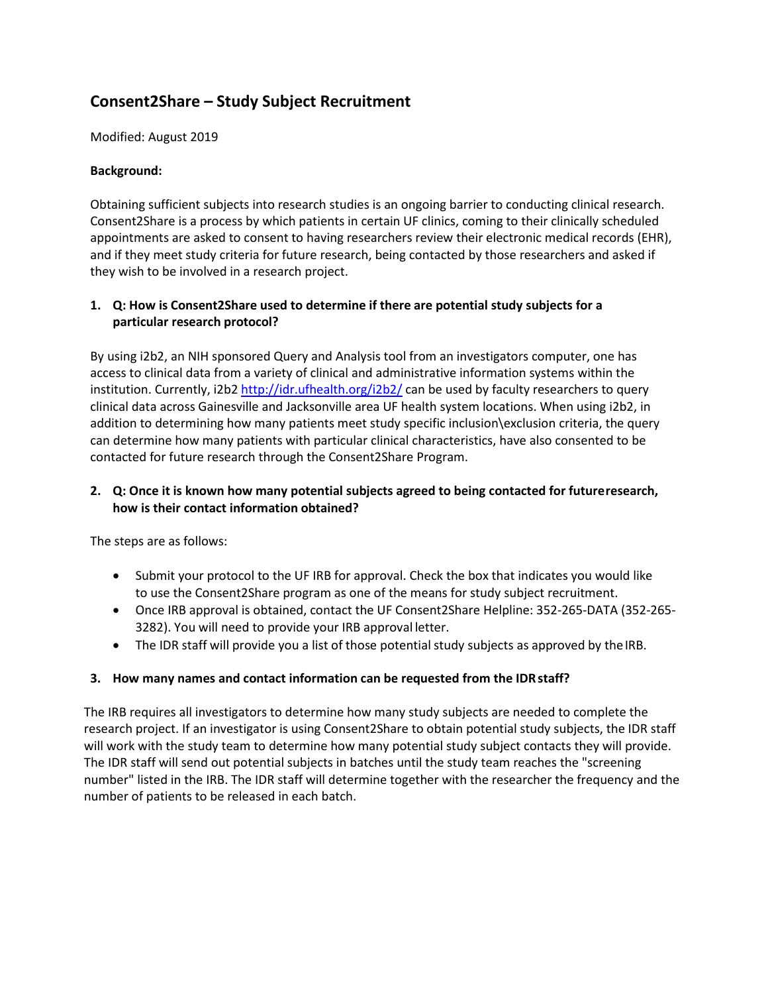# **Consent2Share – Study Subject Recruitment**

Modified: August 2019

#### **Background:**

Obtaining sufficient subjects into research studies is an ongoing barrier to conducting clinical research. Consent2Share is a process by which patients in certain UF clinics, coming to their clinically scheduled appointments are asked to consent to having researchers review their electronic medical records (EHR), and if they meet study criteria for future research, being contacted by those researchers and asked if they wish to be involved in a research project.

## **1. Q: How is Consent2Share used to determine if there are potential study subjects for a particular research protocol?**

By using i2b2, an NIH sponsored Query and Analysis tool from an investigators computer, one has access to clinical data from a variety of clinical and administrative information systems within the institution. Currently, i2b2<http://idr.ufhealth.org/i2b2/> can be used by faculty researchers to query clinical data across Gainesville and Jacksonville area UF health system locations. When using i2b2, in addition to determining how many patients meet study specific inclusion\exclusion criteria, the query can determine how many patients with particular clinical characteristics, have also consented to be contacted for future research through the Consent2Share Program.

## **2. Q: Once it is known how many potential subjects agreed to being contacted for futureresearch, how is their contact information obtained?**

The steps are as follows:

- Submit your protocol to the UF IRB for approval. Check the box that indicates you would like to use the Consent2Share program as one of the means for study subject recruitment.
- Once IRB approval is obtained, contact the UF Consent2Share Helpline: 352-265-DATA (352-265-3282). You will need to provide your IRB approval letter.
- The IDR staff will provide you a list of those potential study subjects as approved by the IRB.

## **3. How many names and contact information can be requested from the IDRstaff?**

The IRB requires all investigators to determine how many study subjects are needed to complete the research project. If an investigator is using Consent2Share to obtain potential study subjects, the IDR staff will work with the study team to determine how many potential study subject contacts they will provide. The IDR staff will send out potential subjects in batches until the study team reaches the "screening number" listed in the IRB. The IDR staff will determine together with the researcher the frequency and the number of patients to be released in each batch.